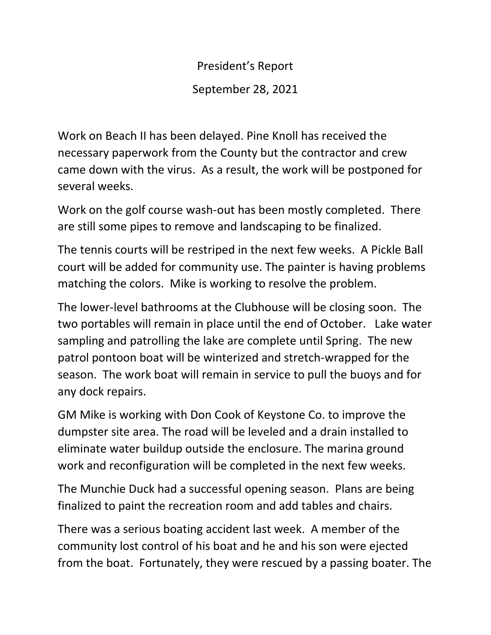President's Report September 28, 2021

Work on Beach II has been delayed. Pine Knoll has received the necessary paperwork from the County but the contractor and crew came down with the virus. As a result, the work will be postponed for several weeks.

Work on the golf course wash-out has been mostly completed. There are still some pipes to remove and landscaping to be finalized.

The tennis courts will be restriped in the next few weeks. A Pickle Ball court will be added for community use. The painter is having problems matching the colors. Mike is working to resolve the problem.

The lower-level bathrooms at the Clubhouse will be closing soon. The two portables will remain in place until the end of October. Lake water sampling and patrolling the lake are complete until Spring. The new patrol pontoon boat will be winterized and stretch-wrapped for the season. The work boat will remain in service to pull the buoys and for any dock repairs.

GM Mike is working with Don Cook of Keystone Co. to improve the dumpster site area. The road will be leveled and a drain installed to eliminate water buildup outside the enclosure. The marina ground work and reconfiguration will be completed in the next few weeks.

The Munchie Duck had a successful opening season. Plans are being finalized to paint the recreation room and add tables and chairs.

There was a serious boating accident last week. A member of the community lost control of his boat and he and his son were ejected from the boat. Fortunately, they were rescued by a passing boater. The